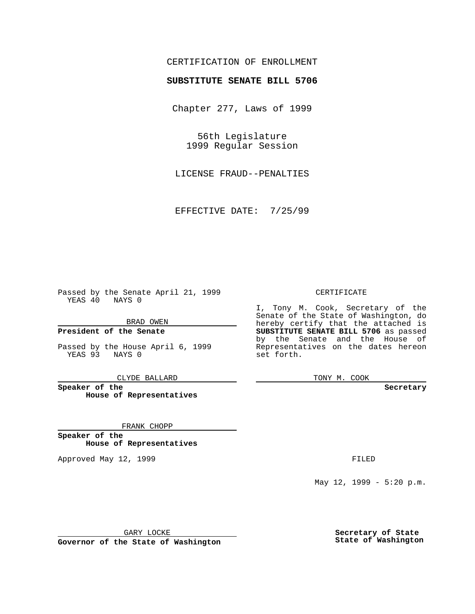## CERTIFICATION OF ENROLLMENT

# **SUBSTITUTE SENATE BILL 5706**

Chapter 277, Laws of 1999

56th Legislature 1999 Regular Session

LICENSE FRAUD--PENALTIES

EFFECTIVE DATE: 7/25/99

Passed by the Senate April 21, 1999 YEAS 40 NAYS 0

BRAD OWEN

**President of the Senate**

Passed by the House April 6, 1999 YEAS 93 NAYS 0

CLYDE BALLARD

**Speaker of the House of Representatives**

FRANK CHOPP

**Speaker of the House of Representatives**

Approved May 12, 1999 **FILED** 

#### CERTIFICATE

I, Tony M. Cook, Secretary of the Senate of the State of Washington, do hereby certify that the attached is **SUBSTITUTE SENATE BILL 5706** as passed by the Senate and the House of Representatives on the dates hereon set forth.

TONY M. COOK

#### **Secretary**

May 12, 1999 - 5:20 p.m.

GARY LOCKE

**Governor of the State of Washington**

**Secretary of State State of Washington**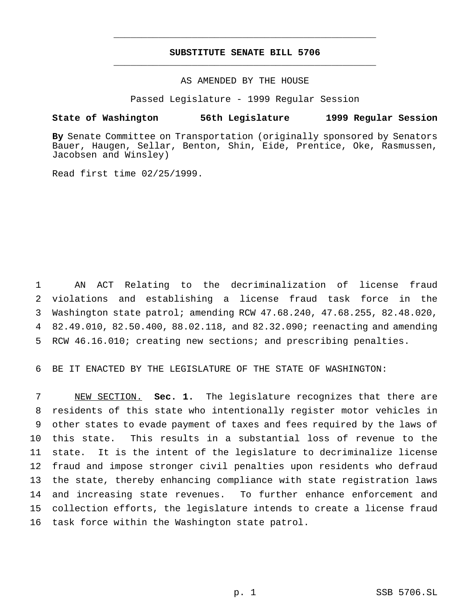## **SUBSTITUTE SENATE BILL 5706** \_\_\_\_\_\_\_\_\_\_\_\_\_\_\_\_\_\_\_\_\_\_\_\_\_\_\_\_\_\_\_\_\_\_\_\_\_\_\_\_\_\_\_\_\_\_\_

\_\_\_\_\_\_\_\_\_\_\_\_\_\_\_\_\_\_\_\_\_\_\_\_\_\_\_\_\_\_\_\_\_\_\_\_\_\_\_\_\_\_\_\_\_\_\_

### AS AMENDED BY THE HOUSE

Passed Legislature - 1999 Regular Session

#### **State of Washington 56th Legislature 1999 Regular Session**

**By** Senate Committee on Transportation (originally sponsored by Senators Bauer, Haugen, Sellar, Benton, Shin, Eide, Prentice, Oke, Rasmussen, Jacobsen and Winsley)

Read first time 02/25/1999.

 AN ACT Relating to the decriminalization of license fraud violations and establishing a license fraud task force in the Washington state patrol; amending RCW 47.68.240, 47.68.255, 82.48.020, 82.49.010, 82.50.400, 88.02.118, and 82.32.090; reenacting and amending RCW 46.16.010; creating new sections; and prescribing penalties.

6 BE IT ENACTED BY THE LEGISLATURE OF THE STATE OF WASHINGTON:

 NEW SECTION. **Sec. 1.** The legislature recognizes that there are residents of this state who intentionally register motor vehicles in other states to evade payment of taxes and fees required by the laws of this state. This results in a substantial loss of revenue to the state. It is the intent of the legislature to decriminalize license fraud and impose stronger civil penalties upon residents who defraud the state, thereby enhancing compliance with state registration laws and increasing state revenues. To further enhance enforcement and collection efforts, the legislature intends to create a license fraud task force within the Washington state patrol.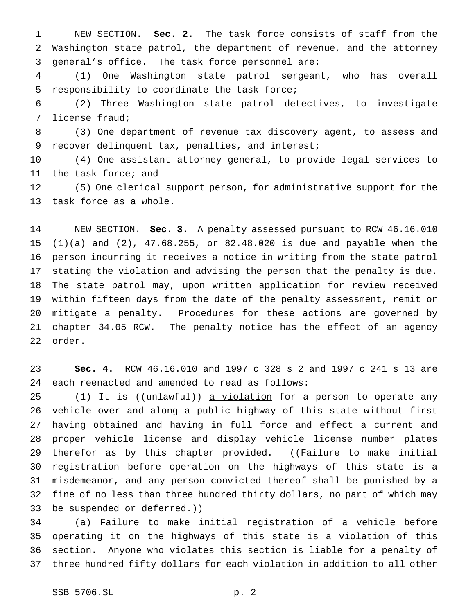NEW SECTION. **Sec. 2.** The task force consists of staff from the Washington state patrol, the department of revenue, and the attorney general's office. The task force personnel are:

 (1) One Washington state patrol sergeant, who has overall responsibility to coordinate the task force;

 (2) Three Washington state patrol detectives, to investigate license fraud;

 (3) One department of revenue tax discovery agent, to assess and recover delinquent tax, penalties, and interest;

 (4) One assistant attorney general, to provide legal services to the task force; and

 (5) One clerical support person, for administrative support for the task force as a whole.

 NEW SECTION. **Sec. 3.** A penalty assessed pursuant to RCW 46.16.010 (1)(a) and (2), 47.68.255, or 82.48.020 is due and payable when the person incurring it receives a notice in writing from the state patrol stating the violation and advising the person that the penalty is due. The state patrol may, upon written application for review received within fifteen days from the date of the penalty assessment, remit or mitigate a penalty. Procedures for these actions are governed by chapter 34.05 RCW. The penalty notice has the effect of an agency order.

 **Sec. 4.** RCW 46.16.010 and 1997 c 328 s 2 and 1997 c 241 s 13 are each reenacted and amended to read as follows:

25 (1) It is ((unlawful)) a violation for a person to operate any vehicle over and along a public highway of this state without first having obtained and having in full force and effect a current and proper vehicle license and display vehicle license number plates 29 therefor as by this chapter provided. ((Failure to make initial registration before operation on the highways of this state is a misdemeanor, and any person convicted thereof shall be punished by a 32 fine of no less than three hundred thirty dollars, no part of which may 33 be suspended or deferred.))

 (a) Failure to make initial registration of a vehicle before 35 operating it on the highways of this state is a violation of this section. Anyone who violates this section is liable for a penalty of 37 three hundred fifty dollars for each violation in addition to all other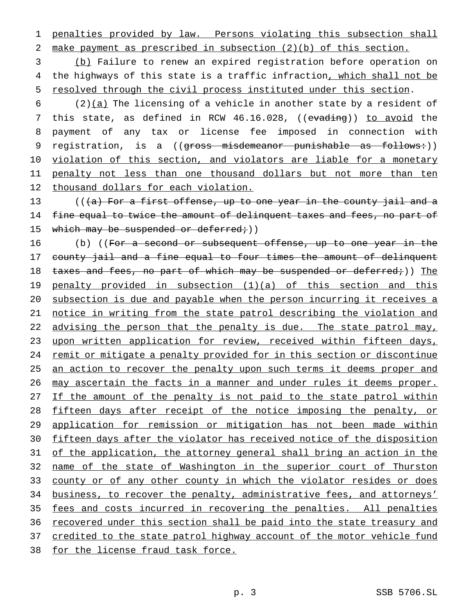1 penalties provided by law. Persons violating this subsection shall 2 make payment as prescribed in subsection (2)(b) of this section.

3 (b) Failure to renew an expired registration before operation on 4 the highways of this state is a traffic infraction, which shall not be 5 resolved through the civil process instituted under this section.

6 (2)(a) The licensing of a vehicle in another state by a resident of 7 this state, as defined in RCW 46.16.028, ((evading)) to avoid the 8 payment of any tax or license fee imposed in connection with 9 registration, is a ((gross misdemeanor punishable as follows:)) 10 violation of this section, and violators are liable for a monetary 11 penalty not less than one thousand dollars but not more than ten 12 thousand dollars for each violation.

13 ( $((a)$  For a first offense, up to one year in the county jail and a 14 fine equal to twice the amount of delinquent taxes and fees, no part of 15 which may be suspended or deferred; ()

16 (b) ((For a second or subsequent offense, up to one year in the 17 county jail and a fine equal to four times the amount of delinquent 18 taxes and fees, no part of which may be suspended or deferred;)) The 19 penalty provided in subsection (1)(a) of this section and this 20 subsection is due and payable when the person incurring it receives a 21 notice in writing from the state patrol describing the violation and 22 advising the person that the penalty is due. The state patrol may, 23 upon written application for review, received within fifteen days, 24 remit or mitigate a penalty provided for in this section or discontinue 25 an action to recover the penalty upon such terms it deems proper and 26 may ascertain the facts in a manner and under rules it deems proper. 27 If the amount of the penalty is not paid to the state patrol within 28 fifteen days after receipt of the notice imposing the penalty, or 29 application for remission or mitigation has not been made within 30 fifteen days after the violator has received notice of the disposition 31 of the application, the attorney general shall bring an action in the 32 name of the state of Washington in the superior court of Thurston 33 county or of any other county in which the violator resides or does 34 business, to recover the penalty, administrative fees, and attorneys' 35 fees and costs incurred in recovering the penalties. All penalties 36 recovered under this section shall be paid into the state treasury and 37 credited to the state patrol highway account of the motor vehicle fund 38 for the license fraud task force.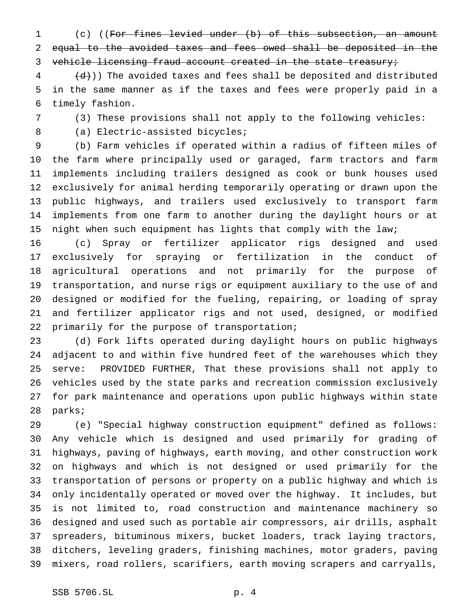(c) ((For fines levied under (b) of this subsection, an amount equal to the avoided taxes and fees owed shall be deposited in the 3 vehicle licensing fraud account created in the state treasury;

  $(d)$ )) The avoided taxes and fees shall be deposited and distributed in the same manner as if the taxes and fees were properly paid in a timely fashion.

(3) These provisions shall not apply to the following vehicles:

8 (a) Electric-assisted bicycles;

 (b) Farm vehicles if operated within a radius of fifteen miles of the farm where principally used or garaged, farm tractors and farm implements including trailers designed as cook or bunk houses used exclusively for animal herding temporarily operating or drawn upon the public highways, and trailers used exclusively to transport farm implements from one farm to another during the daylight hours or at night when such equipment has lights that comply with the law;

 (c) Spray or fertilizer applicator rigs designed and used exclusively for spraying or fertilization in the conduct of agricultural operations and not primarily for the purpose of transportation, and nurse rigs or equipment auxiliary to the use of and designed or modified for the fueling, repairing, or loading of spray and fertilizer applicator rigs and not used, designed, or modified primarily for the purpose of transportation;

 (d) Fork lifts operated during daylight hours on public highways adjacent to and within five hundred feet of the warehouses which they serve: PROVIDED FURTHER, That these provisions shall not apply to vehicles used by the state parks and recreation commission exclusively for park maintenance and operations upon public highways within state parks;

 (e) "Special highway construction equipment" defined as follows: Any vehicle which is designed and used primarily for grading of highways, paving of highways, earth moving, and other construction work on highways and which is not designed or used primarily for the transportation of persons or property on a public highway and which is only incidentally operated or moved over the highway. It includes, but is not limited to, road construction and maintenance machinery so designed and used such as portable air compressors, air drills, asphalt spreaders, bituminous mixers, bucket loaders, track laying tractors, ditchers, leveling graders, finishing machines, motor graders, paving mixers, road rollers, scarifiers, earth moving scrapers and carryalls,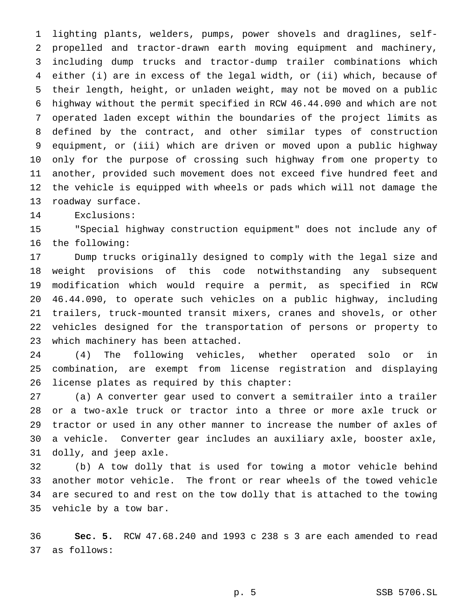lighting plants, welders, pumps, power shovels and draglines, self- propelled and tractor-drawn earth moving equipment and machinery, including dump trucks and tractor-dump trailer combinations which either (i) are in excess of the legal width, or (ii) which, because of their length, height, or unladen weight, may not be moved on a public highway without the permit specified in RCW 46.44.090 and which are not operated laden except within the boundaries of the project limits as defined by the contract, and other similar types of construction equipment, or (iii) which are driven or moved upon a public highway only for the purpose of crossing such highway from one property to another, provided such movement does not exceed five hundred feet and the vehicle is equipped with wheels or pads which will not damage the roadway surface.

Exclusions:

 "Special highway construction equipment" does not include any of the following:

 Dump trucks originally designed to comply with the legal size and weight provisions of this code notwithstanding any subsequent modification which would require a permit, as specified in RCW 46.44.090, to operate such vehicles on a public highway, including trailers, truck-mounted transit mixers, cranes and shovels, or other vehicles designed for the transportation of persons or property to which machinery has been attached.

 (4) The following vehicles, whether operated solo or in combination, are exempt from license registration and displaying license plates as required by this chapter:

 (a) A converter gear used to convert a semitrailer into a trailer or a two-axle truck or tractor into a three or more axle truck or tractor or used in any other manner to increase the number of axles of a vehicle. Converter gear includes an auxiliary axle, booster axle, dolly, and jeep axle.

 (b) A tow dolly that is used for towing a motor vehicle behind another motor vehicle. The front or rear wheels of the towed vehicle are secured to and rest on the tow dolly that is attached to the towing vehicle by a tow bar.

 **Sec. 5.** RCW 47.68.240 and 1993 c 238 s 3 are each amended to read as follows: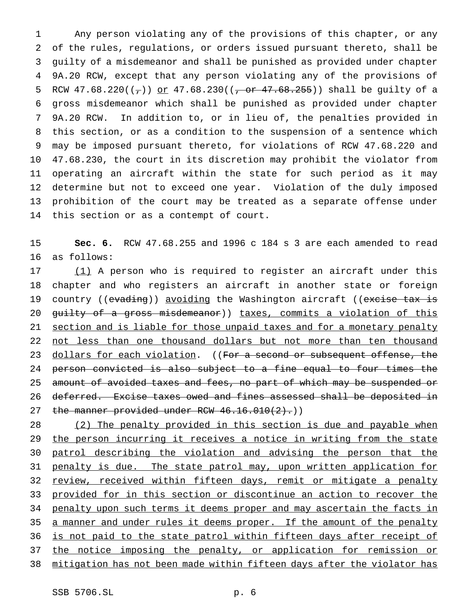Any person violating any of the provisions of this chapter, or any of the rules, regulations, or orders issued pursuant thereto, shall be guilty of a misdemeanor and shall be punished as provided under chapter 9A.20 RCW, except that any person violating any of the provisions of 5 RCW  $47.68.220((-))$  or  $47.68.230((-0)^2.68.255))$  shall be quilty of a gross misdemeanor which shall be punished as provided under chapter 9A.20 RCW. In addition to, or in lieu of, the penalties provided in this section, or as a condition to the suspension of a sentence which may be imposed pursuant thereto, for violations of RCW 47.68.220 and 47.68.230, the court in its discretion may prohibit the violator from operating an aircraft within the state for such period as it may determine but not to exceed one year. Violation of the duly imposed prohibition of the court may be treated as a separate offense under this section or as a contempt of court.

15 **Sec. 6.** RCW 47.68.255 and 1996 c 184 s 3 are each amended to read 16 as follows:

17 (1) A person who is required to register an aircraft under this 18 chapter and who registers an aircraft in another state or foreign 19 country ((evading)) avoiding the Washington aircraft ((excise tax is 20 guilty of a gross misdemeanor)) taxes, commits a violation of this 21 section and is liable for those unpaid taxes and for a monetary penalty 22 not less than one thousand dollars but not more than ten thousand 23 dollars for each violation. ((For a second or subsequent offense, the 24 person convicted is also subject to a fine equal to four times the 25 amount of avoided taxes and fees, no part of which may be suspended or 26 deferred. Excise taxes owed and fines assessed shall be deposited in 27 the manner provided under RCW  $46.16.010(2)$ .)

28 (2) The penalty provided in this section is due and payable when 29 the person incurring it receives a notice in writing from the state 30 patrol describing the violation and advising the person that the 31 penalty is due. The state patrol may, upon written application for 32 review, received within fifteen days, remit or mitigate a penalty 33 provided for in this section or discontinue an action to recover the 34 penalty upon such terms it deems proper and may ascertain the facts in 35 a manner and under rules it deems proper. If the amount of the penalty 36 is not paid to the state patrol within fifteen days after receipt of 37 the notice imposing the penalty, or application for remission or 38 mitigation has not been made within fifteen days after the violator has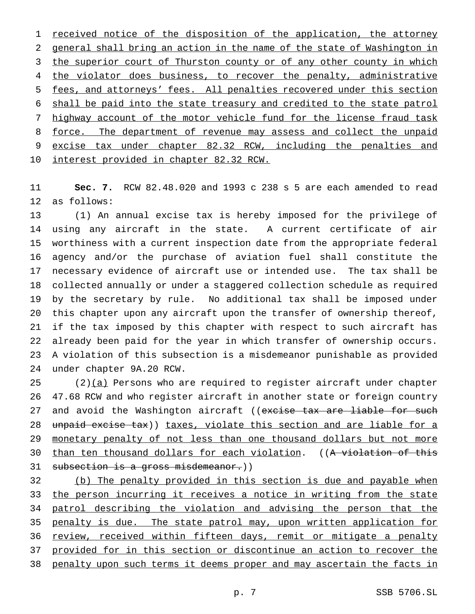1 received notice of the disposition of the application, the attorney general shall bring an action in the name of the state of Washington in 3 the superior court of Thurston county or of any other county in which 4 the violator does business, to recover the penalty, administrative fees, and attorneys' fees. All penalties recovered under this section shall be paid into the state treasury and credited to the state patrol 7 highway account of the motor vehicle fund for the license fraud task 8 force. The department of revenue may assess and collect the unpaid excise tax under chapter 82.32 RCW, including the penalties and interest provided in chapter 82.32 RCW.

 **Sec. 7.** RCW 82.48.020 and 1993 c 238 s 5 are each amended to read as follows:

 (1) An annual excise tax is hereby imposed for the privilege of using any aircraft in the state. A current certificate of air worthiness with a current inspection date from the appropriate federal agency and/or the purchase of aviation fuel shall constitute the necessary evidence of aircraft use or intended use. The tax shall be collected annually or under a staggered collection schedule as required by the secretary by rule. No additional tax shall be imposed under this chapter upon any aircraft upon the transfer of ownership thereof, if the tax imposed by this chapter with respect to such aircraft has already been paid for the year in which transfer of ownership occurs. A violation of this subsection is a misdemeanor punishable as provided under chapter 9A.20 RCW.

 (2) $(a)$  Persons who are required to register aircraft under chapter 47.68 RCW and who register aircraft in another state or foreign country 27 and avoid the Washington aircraft ((excise tax are liable for such 28 unpaid excise tax)) taxes, violate this section and are liable for a 29 monetary penalty of not less than one thousand dollars but not more than ten thousand dollars for each violation. ((A violation of this 31 subsection is a gross misdemeanor.))

 (b) The penalty provided in this section is due and payable when 33 the person incurring it receives a notice in writing from the state patrol describing the violation and advising the person that the 35 penalty is due. The state patrol may, upon written application for 36 review, received within fifteen days, remit or mitigate a penalty provided for in this section or discontinue an action to recover the penalty upon such terms it deems proper and may ascertain the facts in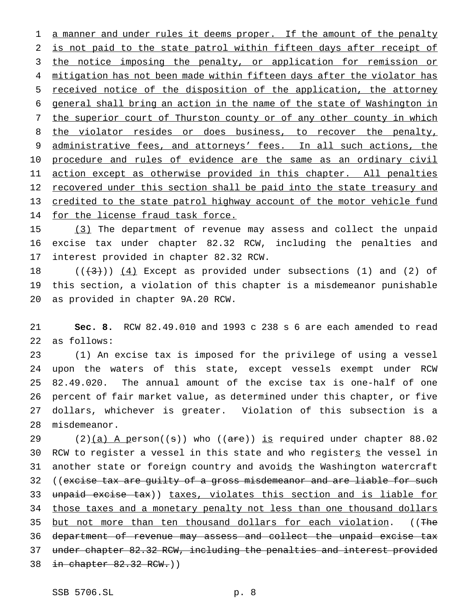1 a manner and under rules it deems proper. If the amount of the penalty 2 is not paid to the state patrol within fifteen days after receipt of 3 the notice imposing the penalty, or application for remission or 4 mitigation has not been made within fifteen days after the violator has 5 received notice of the disposition of the application, the attorney 6 general shall bring an action in the name of the state of Washington in 7 the superior court of Thurston county or of any other county in which 8 the violator resides or does business, to recover the penalty, 9 administrative fees, and attorneys' fees. In all such actions, the 10 procedure and rules of evidence are the same as an ordinary civil 11 action except as otherwise provided in this chapter. All penalties 12 recovered under this section shall be paid into the state treasury and 13 credited to the state patrol highway account of the motor vehicle fund 14 for the license fraud task force.

15 (3) The department of revenue may assess and collect the unpaid 16 excise tax under chapter 82.32 RCW, including the penalties and 17 interest provided in chapter 82.32 RCW.

18  $((+3))$   $(4)$  Except as provided under subsections (1) and (2) of 19 this section, a violation of this chapter is a misdemeanor punishable 20 as provided in chapter 9A.20 RCW.

21 **Sec. 8.** RCW 82.49.010 and 1993 c 238 s 6 are each amended to read 22 as follows:

 (1) An excise tax is imposed for the privilege of using a vessel upon the waters of this state, except vessels exempt under RCW 82.49.020. The annual amount of the excise tax is one-half of one percent of fair market value, as determined under this chapter, or five dollars, whichever is greater. Violation of this subsection is a misdemeanor.

29 (2) $(a)$  A person((s)) who ((are)) is required under chapter 88.02 30 RCW to register a vessel in this state and who registers the vessel in 31 another state or foreign country and avoids the Washington watercraft 32 ((excise tax are guilty of a gross misdemeanor and are liable for such 33 unpaid excise tax)) taxes, violates this section and is liable for 34 those taxes and a monetary penalty not less than one thousand dollars 35 but not more than ten thousand dollars for each violation. ((The 36 department of revenue may assess and collect the unpaid excise tax 37 under chapter 82.32 RCW, including the penalties and interest provided 38 in chapter 82.32 RCW.))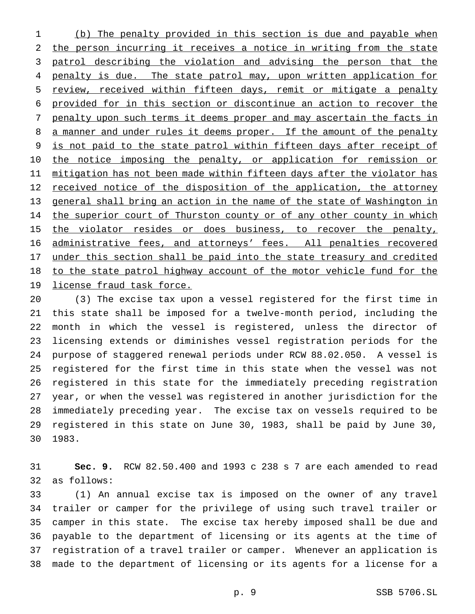(b) The penalty provided in this section is due and payable when the person incurring it receives a notice in writing from the state patrol describing the violation and advising the person that the 4 penalty is due. The state patrol may, upon written application for review, received within fifteen days, remit or mitigate a penalty provided for in this section or discontinue an action to recover the penalty upon such terms it deems proper and may ascertain the facts in 8 a manner and under rules it deems proper. If the amount of the penalty is not paid to the state patrol within fifteen days after receipt of 10 the notice imposing the penalty, or application for remission or 11 mitigation has not been made within fifteen days after the violator has 12 received notice of the disposition of the application, the attorney general shall bring an action in the name of the state of Washington in 14 the superior court of Thurston county or of any other county in which 15 the violator resides or does business, to recover the penalty, administrative fees, and attorneys' fees. All penalties recovered under this section shall be paid into the state treasury and credited to the state patrol highway account of the motor vehicle fund for the license fraud task force.

 (3) The excise tax upon a vessel registered for the first time in this state shall be imposed for a twelve-month period, including the month in which the vessel is registered, unless the director of licensing extends or diminishes vessel registration periods for the purpose of staggered renewal periods under RCW 88.02.050. A vessel is registered for the first time in this state when the vessel was not registered in this state for the immediately preceding registration year, or when the vessel was registered in another jurisdiction for the immediately preceding year. The excise tax on vessels required to be registered in this state on June 30, 1983, shall be paid by June 30, 1983.

 **Sec. 9.** RCW 82.50.400 and 1993 c 238 s 7 are each amended to read as follows:

 (1) An annual excise tax is imposed on the owner of any travel trailer or camper for the privilege of using such travel trailer or camper in this state. The excise tax hereby imposed shall be due and payable to the department of licensing or its agents at the time of registration of a travel trailer or camper. Whenever an application is made to the department of licensing or its agents for a license for a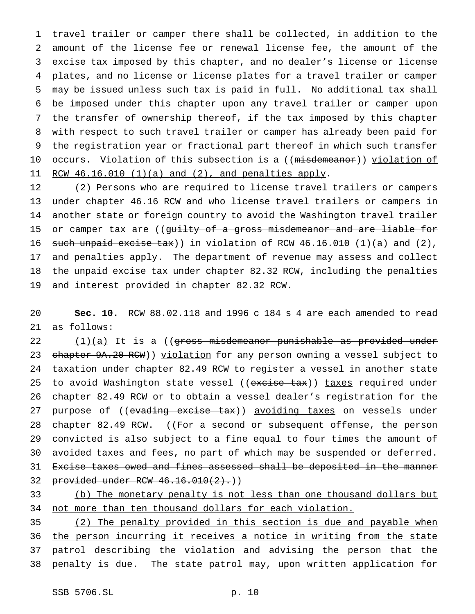travel trailer or camper there shall be collected, in addition to the amount of the license fee or renewal license fee, the amount of the excise tax imposed by this chapter, and no dealer's license or license plates, and no license or license plates for a travel trailer or camper may be issued unless such tax is paid in full. No additional tax shall be imposed under this chapter upon any travel trailer or camper upon the transfer of ownership thereof, if the tax imposed by this chapter with respect to such travel trailer or camper has already been paid for the registration year or fractional part thereof in which such transfer 10 occurs. Violation of this subsection is a ((misdemeanor)) violation of 11 RCW 46.16.010 (1)(a) and (2), and penalties apply.

 (2) Persons who are required to license travel trailers or campers under chapter 46.16 RCW and who license travel trailers or campers in another state or foreign country to avoid the Washington travel trailer 15 or camper tax are ((guilty of a gross misdemeanor and are liable for 16 such unpaid excise tax)) in violation of RCW  $46.16.010$  (1)(a) and (2), 17 and penalties apply. The department of revenue may assess and collect the unpaid excise tax under chapter 82.32 RCW, including the penalties and interest provided in chapter 82.32 RCW.

20 **Sec. 10.** RCW 88.02.118 and 1996 c 184 s 4 are each amended to read 21 as follows:

22 (1)(a) It is a ((gross misdemeanor punishable as provided under 23 chapter 9A.20 RCW)) violation for any person owning a vessel subject to 24 taxation under chapter 82.49 RCW to register a vessel in another state 25 to avoid Washington state vessel ((excise tax)) taxes required under 26 chapter 82.49 RCW or to obtain a vessel dealer's registration for the 27 purpose of ((evading excise tax)) avoiding taxes on vessels under 28 chapter 82.49 RCW. ((For a second or subsequent offense, the person 29 convicted is also subject to a fine equal to four times the amount of 30 avoided taxes and fees, no part of which may be suspended or deferred. 31 Excise taxes owed and fines assessed shall be deposited in the manner 32 provided under RCW 46.16.010(2).)

33 (b) The monetary penalty is not less than one thousand dollars but 34 not more than ten thousand dollars for each violation.

35 (2) The penalty provided in this section is due and payable when 36 the person incurring it receives a notice in writing from the state 37 patrol describing the violation and advising the person that the 38 penalty is due. The state patrol may, upon written application for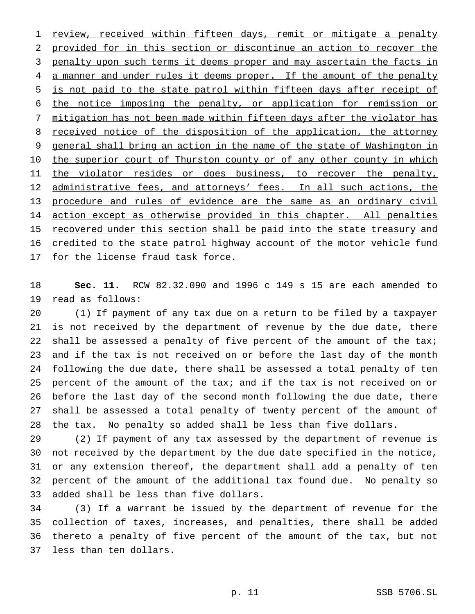1 review, received within fifteen days, remit or mitigate a penalty provided for in this section or discontinue an action to recover the 3 penalty upon such terms it deems proper and may ascertain the facts in 4 a manner and under rules it deems proper. If the amount of the penalty is not paid to the state patrol within fifteen days after receipt of the notice imposing the penalty, or application for remission or mitigation has not been made within fifteen days after the violator has 8 received notice of the disposition of the application, the attorney 9 general shall bring an action in the name of the state of Washington in 10 the superior court of Thurston county or of any other county in which 11 the violator resides or does business, to recover the penalty, 12 administrative fees, and attorneys' fees. In all such actions, the procedure and rules of evidence are the same as an ordinary civil 14 action except as otherwise provided in this chapter. All penalties 15 recovered under this section shall be paid into the state treasury and credited to the state patrol highway account of the motor vehicle fund 17 for the license fraud task force.

 **Sec. 11.** RCW 82.32.090 and 1996 c 149 s 15 are each amended to read as follows:

 (1) If payment of any tax due on a return to be filed by a taxpayer is not received by the department of revenue by the due date, there 22 shall be assessed a penalty of five percent of the amount of the tax; and if the tax is not received on or before the last day of the month following the due date, there shall be assessed a total penalty of ten percent of the amount of the tax; and if the tax is not received on or before the last day of the second month following the due date, there shall be assessed a total penalty of twenty percent of the amount of the tax. No penalty so added shall be less than five dollars.

 (2) If payment of any tax assessed by the department of revenue is not received by the department by the due date specified in the notice, or any extension thereof, the department shall add a penalty of ten percent of the amount of the additional tax found due. No penalty so added shall be less than five dollars.

 (3) If a warrant be issued by the department of revenue for the collection of taxes, increases, and penalties, there shall be added thereto a penalty of five percent of the amount of the tax, but not less than ten dollars.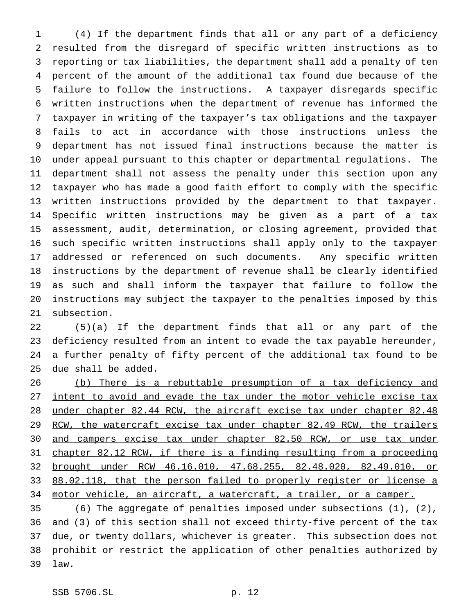(4) If the department finds that all or any part of a deficiency resulted from the disregard of specific written instructions as to reporting or tax liabilities, the department shall add a penalty of ten percent of the amount of the additional tax found due because of the failure to follow the instructions. A taxpayer disregards specific written instructions when the department of revenue has informed the taxpayer in writing of the taxpayer's tax obligations and the taxpayer fails to act in accordance with those instructions unless the department has not issued final instructions because the matter is under appeal pursuant to this chapter or departmental regulations. The department shall not assess the penalty under this section upon any taxpayer who has made a good faith effort to comply with the specific written instructions provided by the department to that taxpayer. Specific written instructions may be given as a part of a tax assessment, audit, determination, or closing agreement, provided that such specific written instructions shall apply only to the taxpayer addressed or referenced on such documents. Any specific written instructions by the department of revenue shall be clearly identified as such and shall inform the taxpayer that failure to follow the instructions may subject the taxpayer to the penalties imposed by this subsection.

22 (5)(a) If the department finds that all or any part of the deficiency resulted from an intent to evade the tax payable hereunder, a further penalty of fifty percent of the additional tax found to be due shall be added.

 (b) There is a rebuttable presumption of a tax deficiency and intent to avoid and evade the tax under the motor vehicle excise tax under chapter 82.44 RCW, the aircraft excise tax under chapter 82.48 29 RCW, the watercraft excise tax under chapter 82.49 RCW, the trailers and campers excise tax under chapter 82.50 RCW, or use tax under chapter 82.12 RCW, if there is a finding resulting from a proceeding brought under RCW 46.16.010, 47.68.255, 82.48.020, 82.49.010, or 88.02.118, that the person failed to properly register or license a 34 motor vehicle, an aircraft, a watercraft, a trailer, or a camper.

 (6) The aggregate of penalties imposed under subsections (1), (2), and (3) of this section shall not exceed thirty-five percent of the tax due, or twenty dollars, whichever is greater. This subsection does not prohibit or restrict the application of other penalties authorized by law.